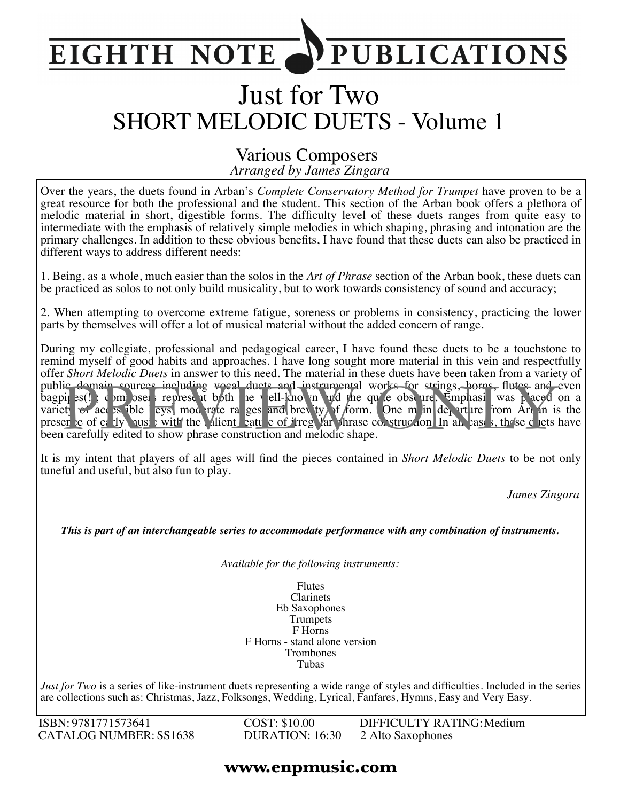#### **PUBLICATIONS EIGHTH NOTE**

# Just for Two SHORT MELODIC DUETS - Volume 1

#### *Arranged by James Zingara* Various Composers

Over the years, the duets found in Arban's *Complete Conservatory Method for Trumpet* have proven to be a great resource for both the professional and the student. This section of the Arban book offers a plethora of melodic material in short, digestible forms. The difficulty level of these duets ranges from quite easy to intermediate with the emphasis of relatively simple melodies in which shaping, phrasing and intonation are the primary challenges. In addition to these obvious benefits, I have found that these duets can also be practiced in different ways to address different needs:

1. Being, as a whole, much easier than the solos in the *Art of Phrase* section of the Arban book, these duets can be practiced as solos to not only build musicality, but to work towards consistency of sound and accuracy;

2. When attempting to overcome extreme fatigue, soreness or problems in consistency, practicing the lower parts by themselves will offer a lot of musical material without the added concern of range.

During my collegiate, professional and pedagogical career, I have found these duets to be a touchstone to remind myself of good habits and approaches. I have long sought more material in this vein and respectfully offer *Short Melodic Duets* in answer to this need. The material in these duets have been taken from a variety of public domain sources including vocal duets and instrumental works for strings, horns, flutes and even bagpit s(!); composers represent both the well-known and the quite obscure. Emphasis was placed on a variety of access ible leys, moderate ranges and brevity of form. One main departure from Arban is the presence of early music with the salient eature of irregular phrase construction. In all cases, these duets have been carefully edited to show phrase construction and melodic shape. ic domain sources including woral duets and instrumental works for strings, horns, flutes and<br>pi es() composed represent both the vell-kno in and the qu'e obse ure. Emplassi was paced<br>et of acc es ible eys, mod rate ra ges

It is my intent that players of all ages will find the pieces contained in *Short Melodic Duets* to be not only tuneful and useful, but also fun to play.

*James Zingara*

*This is part of an interchangeable series to accommodate performance with any combination of instruments.*

*Available for the following instruments:*

Flutes Clarinets Eb Saxophones Trumpets F Horns F Horns - stand alone version Trombones Tubas

*Just for Two* is a series of like-instrument duets representing a wide range of styles and difficulties. Included in the series are collections such as: Christmas, Jazz, Folksongs, Wedding, Lyrical, Fanfares, Hymns, Easy and Very Easy.

ISBN: 9781771573641 CATALOG NUMBER: SS1638 COST: \$10.00 DURATION: 16:30 DIFFICULTY RATING:Medium 2 Alto Saxophones

#### **www.enpmusic.com**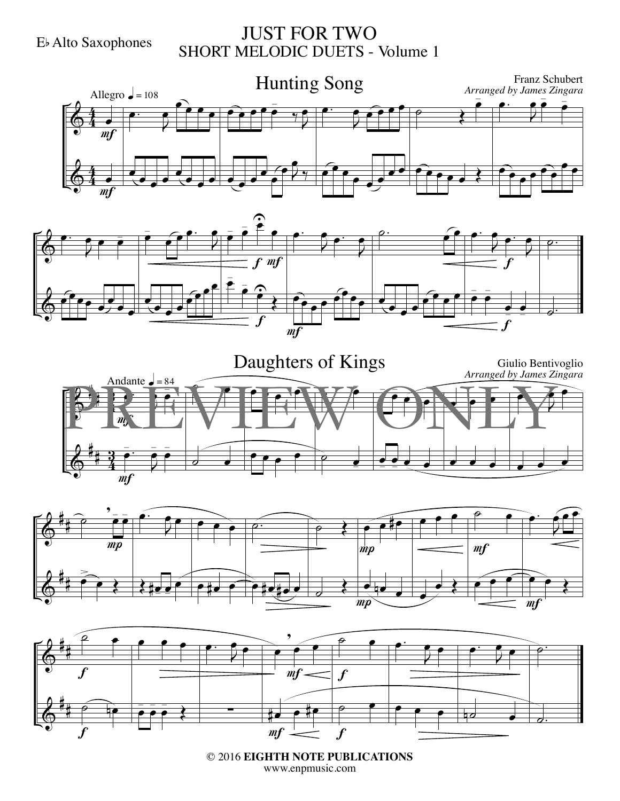JUST FOR TWO SHORT MELODIC DUETS - Volume 1











© 2016 **EIGHTH NOTE PUBLICATIONS** www.enpmusic.com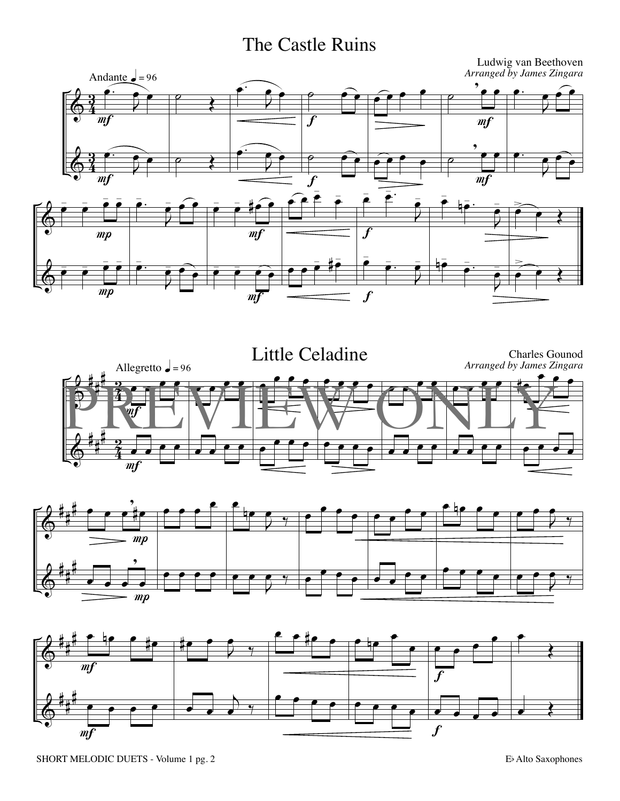#### The Castle Ruins







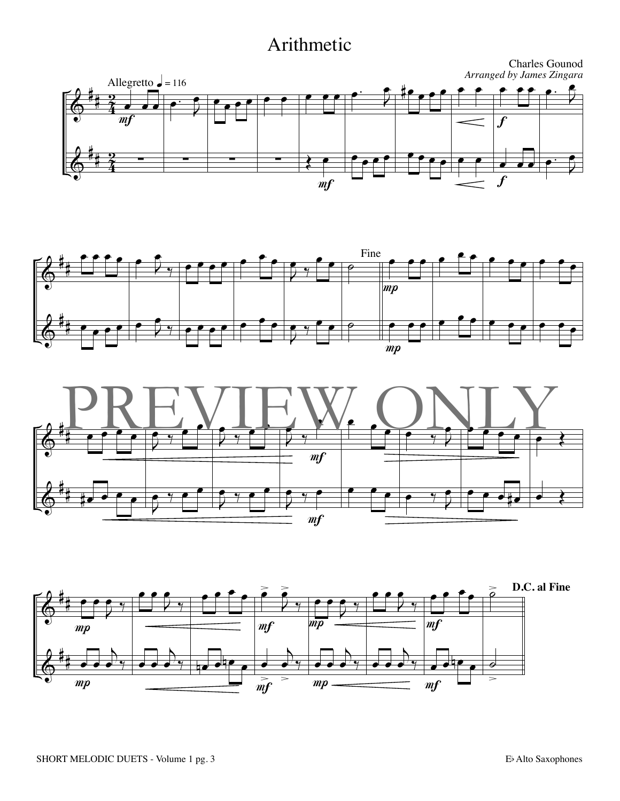#### Arithmetic







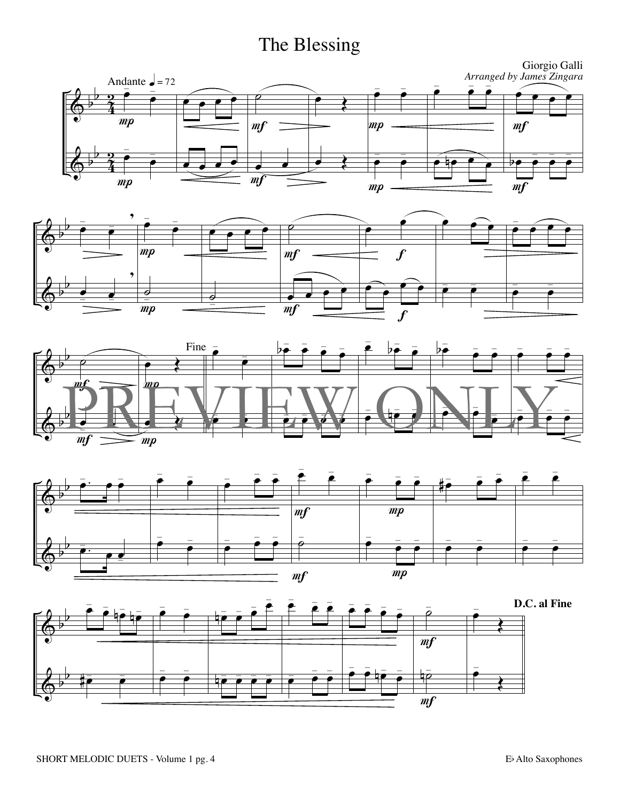### The Blessing









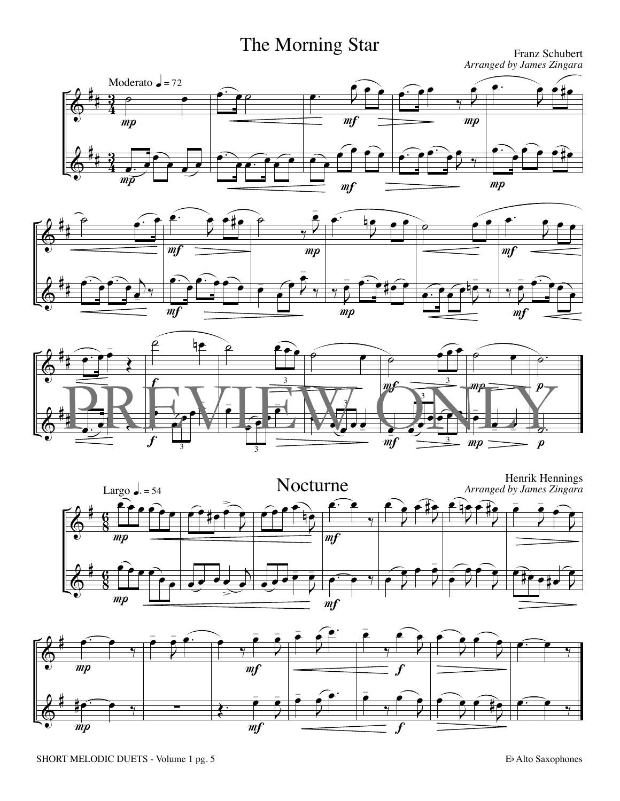# The Morning Star Franz Schubert

*Arranged by James Zingara*









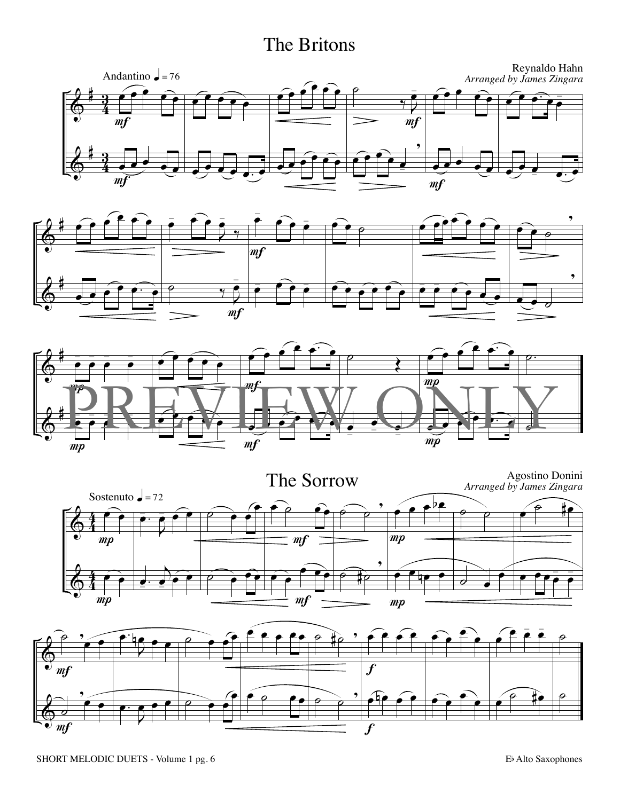#### The Britons









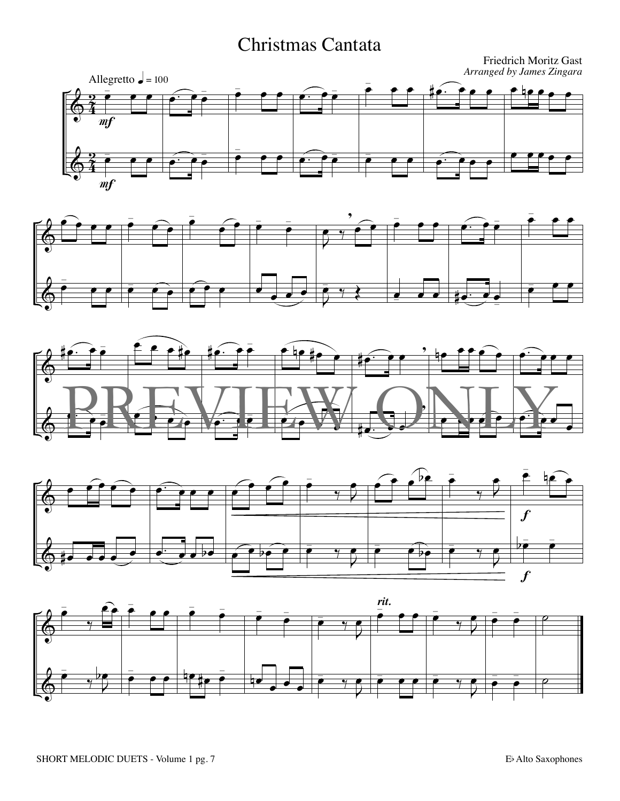#### Christmas Cantata









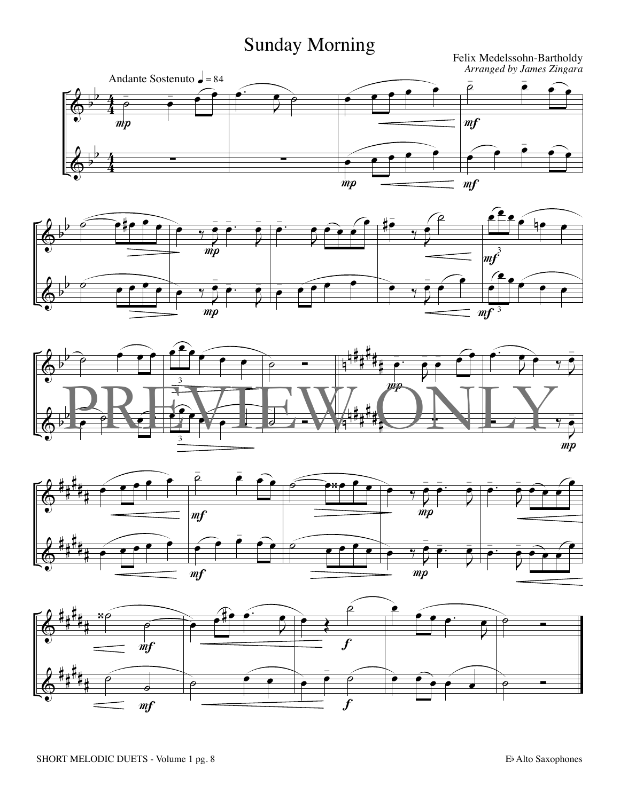## Sunday Morning









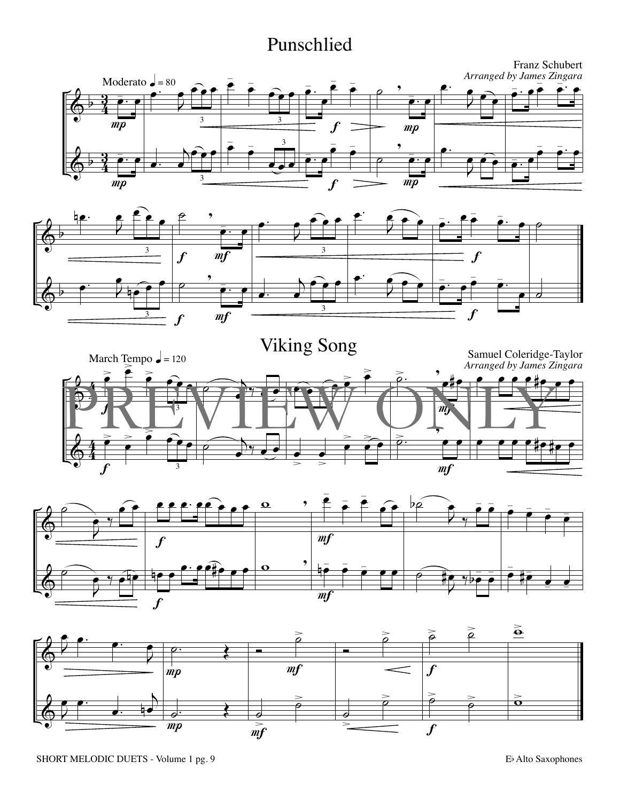#### Punschlied









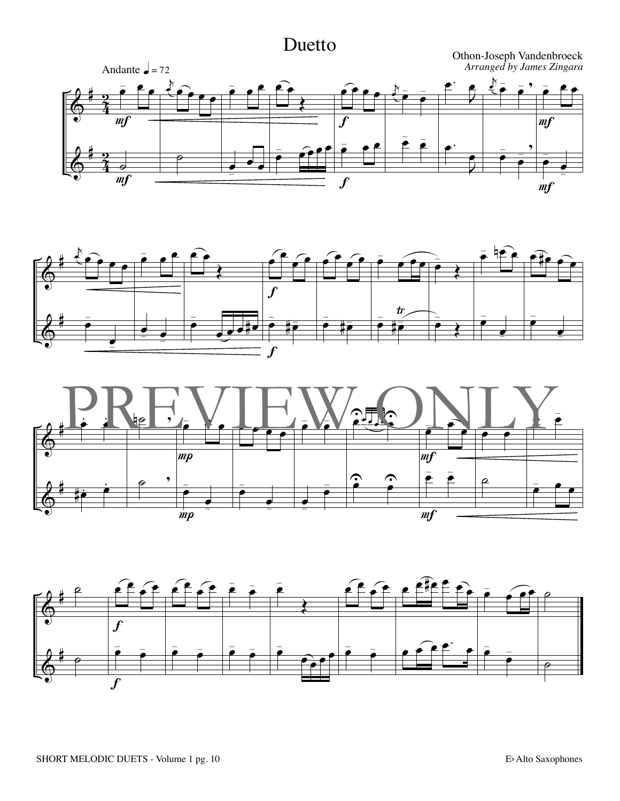#### Duetto







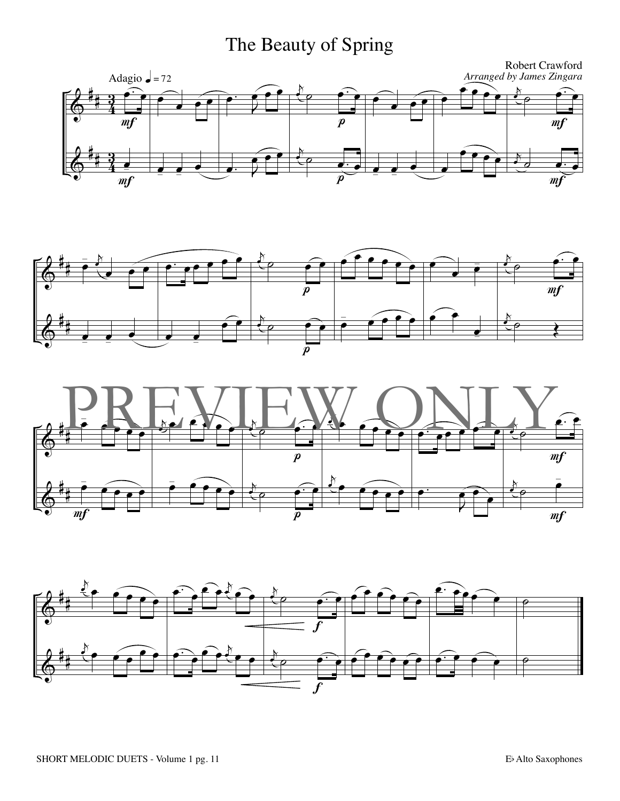## The Beauty of Spring







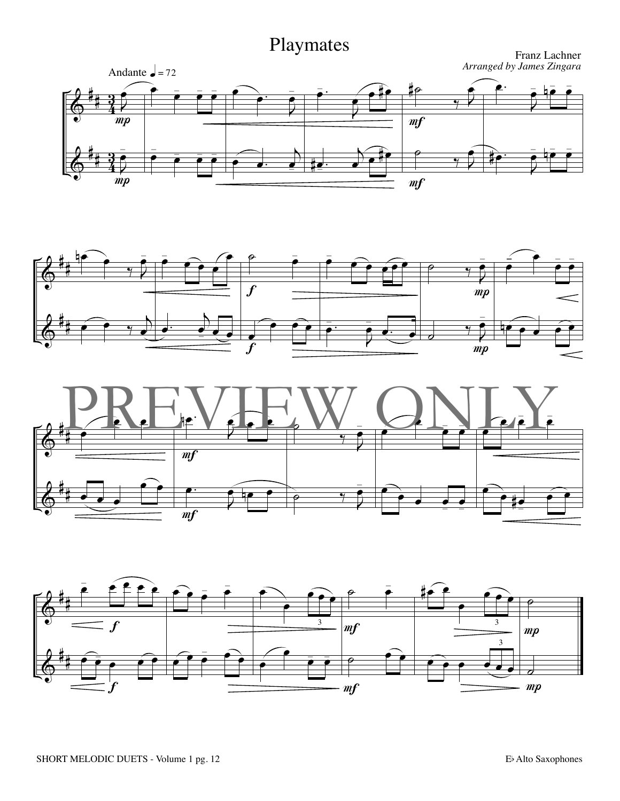





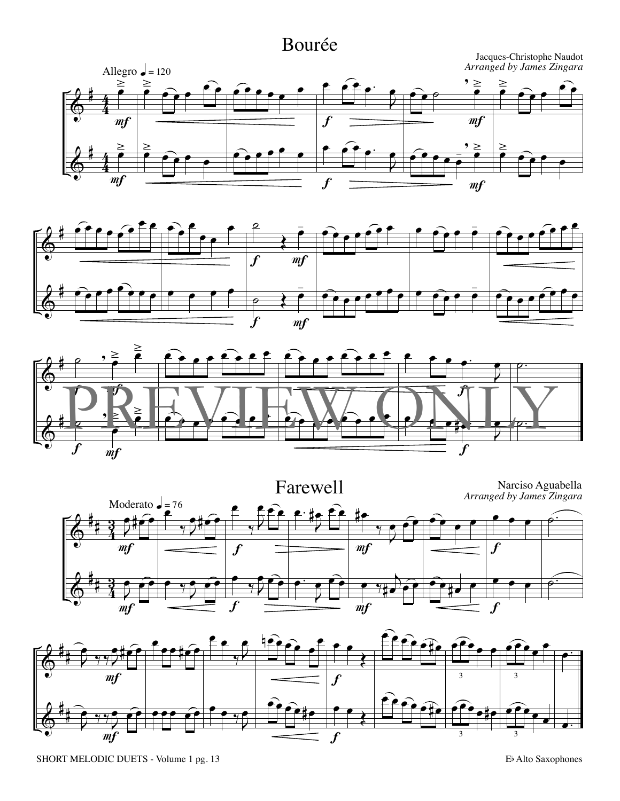#### Bourée









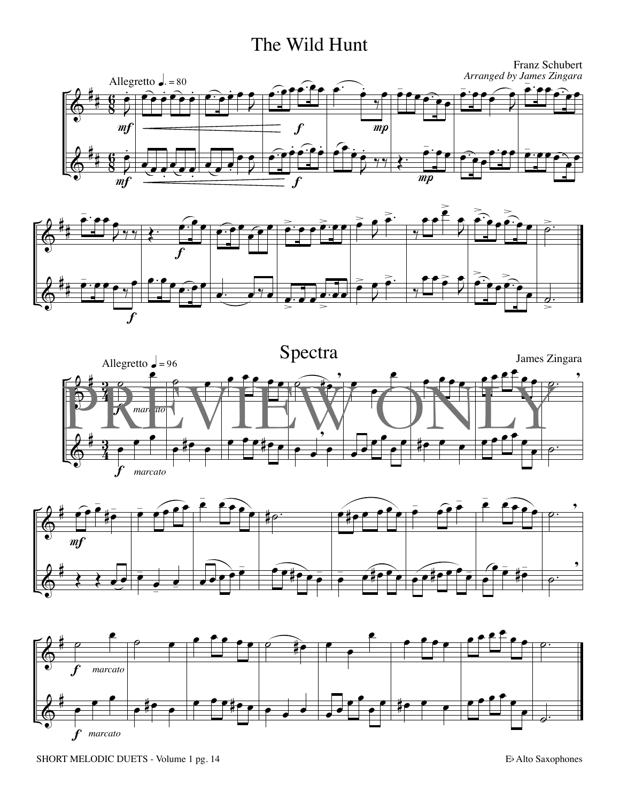#### The Wild Hunt